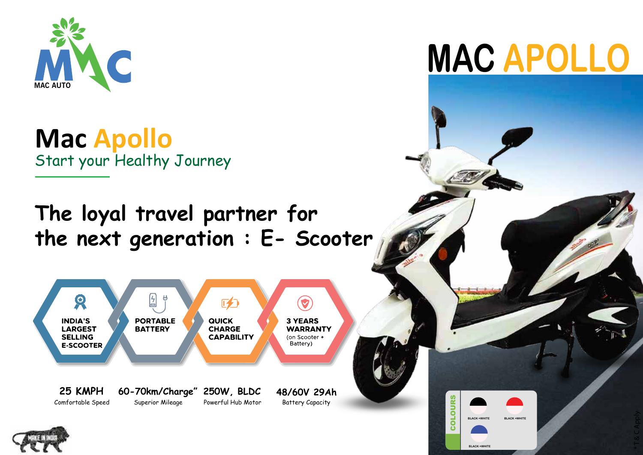

**Mac Apollo** Start your Healthy Journey

**The loyal travel partner for the next generation : E- Scooter**







၀<br>ပ

**BLACK +WHITE**

**BLACK +WHITE**

**BLACK +WHITE**

LOURS